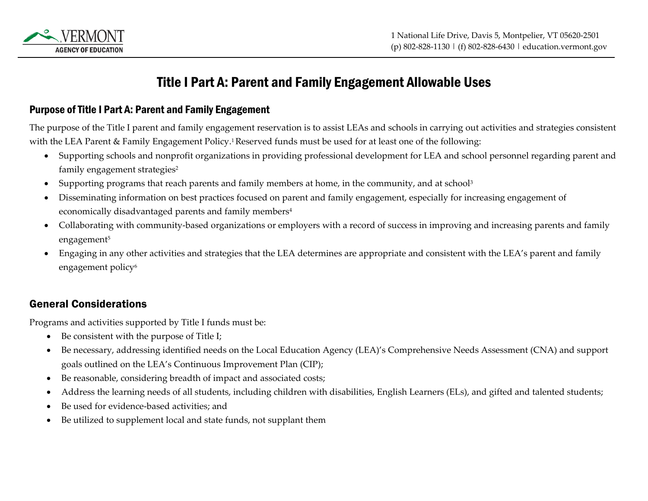

# Title I Part A: Parent and Family Engagement Allowable Uses

#### Purpose of Title I Part A: Parent and Family Engagement

The purpose of the Title I parent and family engagement reservation is to assist LEAs and schools in carrying out activities and strategies consistent with the LEA Parent & Family Engagement Policy.<sup>1</sup> Reserved funds must be used for at least one of the following:

- Supporting schools and nonprofit organizations in providing professional development for LEA and school personnel regarding parent and family engagement strategies<sup>2</sup>
- Supporting programs that reach parents and family members at home, in the community, and at school<sup>3</sup>
- Disseminating information on best practices focused on parent and family engagement, especially for increasing engagement of economically disadvantaged parents and family members<sup>4</sup>
- Collaborating with community-based organizations or employers with a record of success in improving and increasing parents and family engagement<sup>5</sup>
- Engaging in any other activities and strategies that the LEA determines are appropriate and consistent with the LEA's parent and family engagement policy<sup>6</sup>

### General Considerations

Programs and activities supported by Title I funds must be:

- Be consistent with the purpose of Title I;
- Be necessary, addressing identified needs on the Local Education Agency (LEA)'s Comprehensive Needs Assessment (CNA) and support goals outlined on the LEA's Continuous Improvement Plan (CIP);
- Be reasonable, considering breadth of impact and associated costs;
- Address the learning needs of all students, including children with disabilities, English Learners (ELs), and gifted and talented students;
- Be used for evidence-based activities; and
- Be utilized to supplement local and state funds, not supplant them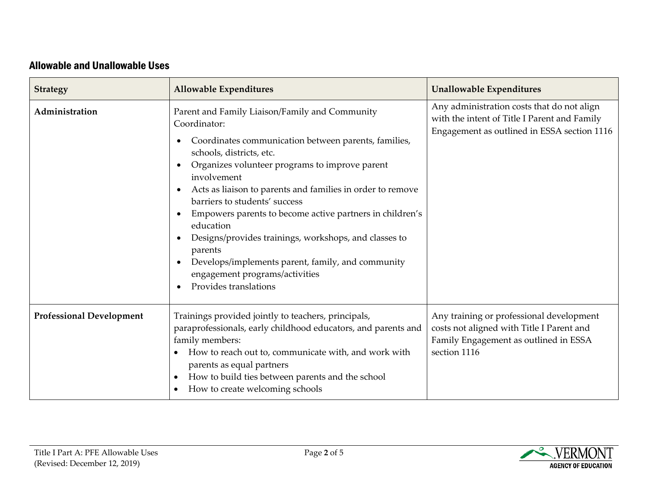## Allowable and Unallowable Uses

| <b>Strategy</b>                 | <b>Allowable Expenditures</b>                                                                                                                                                                                                                                                                                                                                                                                                                                                                                                                                                   | <b>Unallowable Expenditures</b>                                                                                                                |
|---------------------------------|---------------------------------------------------------------------------------------------------------------------------------------------------------------------------------------------------------------------------------------------------------------------------------------------------------------------------------------------------------------------------------------------------------------------------------------------------------------------------------------------------------------------------------------------------------------------------------|------------------------------------------------------------------------------------------------------------------------------------------------|
| Administration                  | Parent and Family Liaison/Family and Community<br>Coordinator:<br>Coordinates communication between parents, families,<br>schools, districts, etc.<br>Organizes volunteer programs to improve parent<br>involvement<br>Acts as liaison to parents and families in order to remove<br>barriers to students' success<br>Empowers parents to become active partners in children's<br>education<br>Designs/provides trainings, workshops, and classes to<br>parents<br>Develops/implements parent, family, and community<br>engagement programs/activities<br>Provides translations | Any administration costs that do not align<br>with the intent of Title I Parent and Family<br>Engagement as outlined in ESSA section 1116      |
| <b>Professional Development</b> | Trainings provided jointly to teachers, principals,<br>paraprofessionals, early childhood educators, and parents and<br>family members:<br>How to reach out to, communicate with, and work with<br>parents as equal partners<br>How to build ties between parents and the school<br>How to create welcoming schools                                                                                                                                                                                                                                                             | Any training or professional development<br>costs not aligned with Title I Parent and<br>Family Engagement as outlined in ESSA<br>section 1116 |

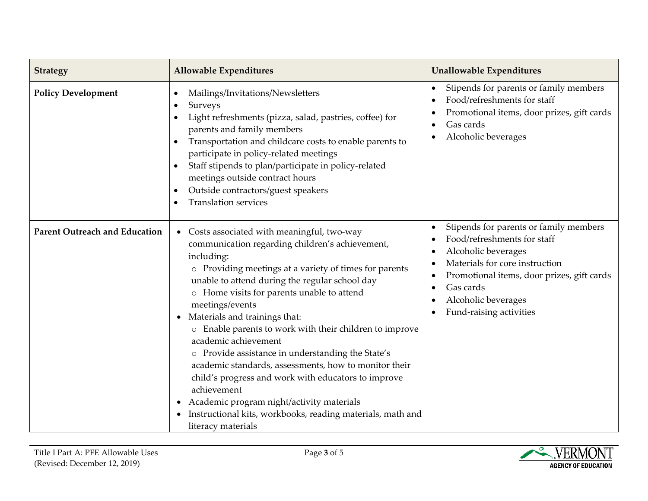| <b>Strategy</b>                      | <b>Allowable Expenditures</b>                                                                                                                                                                                                                                                                                                                                                                                                                                                                                                                                                                                                                                                                                                                              | <b>Unallowable Expenditures</b>                                                                                                                                                                                                             |
|--------------------------------------|------------------------------------------------------------------------------------------------------------------------------------------------------------------------------------------------------------------------------------------------------------------------------------------------------------------------------------------------------------------------------------------------------------------------------------------------------------------------------------------------------------------------------------------------------------------------------------------------------------------------------------------------------------------------------------------------------------------------------------------------------------|---------------------------------------------------------------------------------------------------------------------------------------------------------------------------------------------------------------------------------------------|
| <b>Policy Development</b>            | Mailings/Invitations/Newsletters<br>$\bullet$<br>Surveys<br>$\bullet$<br>Light refreshments (pizza, salad, pastries, coffee) for<br>$\bullet$<br>parents and family members<br>Transportation and childcare costs to enable parents to<br>$\bullet$<br>participate in policy-related meetings<br>Staff stipends to plan/participate in policy-related<br>$\bullet$<br>meetings outside contract hours<br>Outside contractors/guest speakers<br>$\bullet$<br><b>Translation services</b><br>$\bullet$                                                                                                                                                                                                                                                       | Stipends for parents or family members<br>$\bullet$<br>Food/refreshments for staff<br>Promotional items, door prizes, gift cards<br>Gas cards<br>Alcoholic beverages                                                                        |
| <b>Parent Outreach and Education</b> | Costs associated with meaningful, two-way<br>$\bullet$<br>communication regarding children's achievement,<br>including:<br>o Providing meetings at a variety of times for parents<br>unable to attend during the regular school day<br>o Home visits for parents unable to attend<br>meetings/events<br>Materials and trainings that:<br>$\bullet$<br>o Enable parents to work with their children to improve<br>academic achievement<br>o Provide assistance in understanding the State's<br>academic standards, assessments, how to monitor their<br>child's progress and work with educators to improve<br>achievement<br>Academic program night/activity materials<br>Instructional kits, workbooks, reading materials, math and<br>literacy materials | Stipends for parents or family members<br>Food/refreshments for staff<br>Alcoholic beverages<br>Materials for core instruction<br>Promotional items, door prizes, gift cards<br>Gas cards<br>Alcoholic beverages<br>Fund-raising activities |

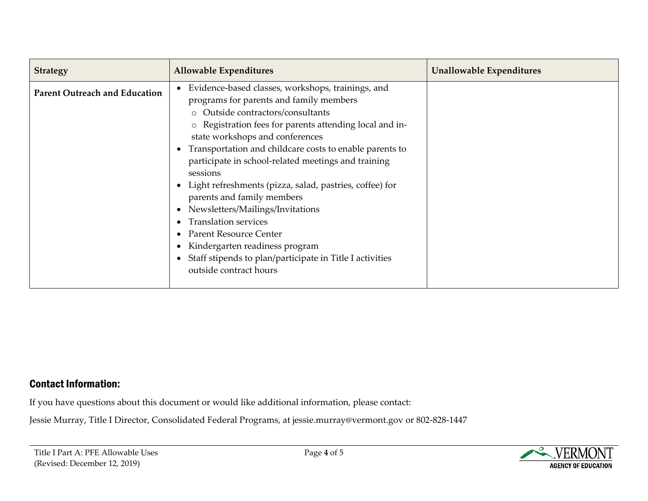| <b>Strategy</b>                      | <b>Allowable Expenditures</b>                                                                                                                                                                                                                                                                                                                                                                                                                                                                                                                                                                                                                                                       | <b>Unallowable Expenditures</b> |
|--------------------------------------|-------------------------------------------------------------------------------------------------------------------------------------------------------------------------------------------------------------------------------------------------------------------------------------------------------------------------------------------------------------------------------------------------------------------------------------------------------------------------------------------------------------------------------------------------------------------------------------------------------------------------------------------------------------------------------------|---------------------------------|
| <b>Parent Outreach and Education</b> | Evidence-based classes, workshops, trainings, and<br>programs for parents and family members<br>o Outside contractors/consultants<br>o Registration fees for parents attending local and in-<br>state workshops and conferences<br>• Transportation and childcare costs to enable parents to<br>participate in school-related meetings and training<br>sessions<br>• Light refreshments (pizza, salad, pastries, coffee) for<br>parents and family members<br>Newsletters/Mailings/Invitations<br><b>Translation services</b><br>Parent Resource Center<br>• Kindergarten readiness program<br>• Staff stipends to plan/participate in Title I activities<br>outside contract hours |                                 |

#### Contact Information:

If you have questions about this document or would like additional information, please contact:

Jessie Murray, Title I Director, Consolidated Federal Programs, at jessie.murray@vermont.gov or 802-828-1447